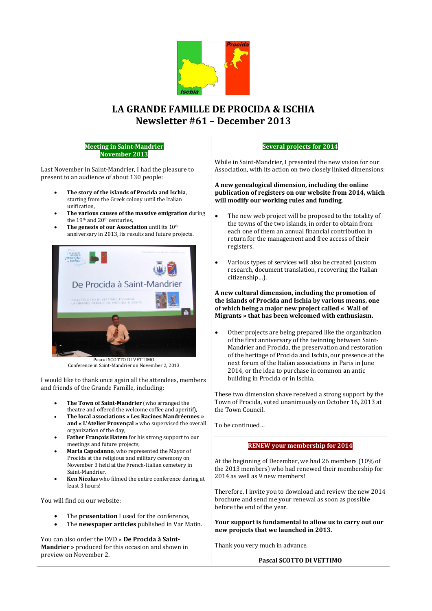

# **LA GRANDE FAMILLE DE PROCIDA & ISCHIA Newsletter #61 – December 2013**

#### **Meeting in Saint-Mandrier November 2013**

Last November in Saint-Mandrier, I had the pleasure to present to an audience of about 130 people:

- **The story of the islands of Procida and Ischia**, starting from the Greek colony until the Italian unification,
- **The various causes of the massive emigration** during the 19<sup>th</sup> and 20<sup>th</sup> centuries,
- The genesis of our Association until its 10<sup>th</sup> anniversary in 2013, its results and future projects.



Conference in Saint-Mandrier on November 2, 2013

I would like to thank once again all the attendees, members and friends of the Grande Famille, including:

- **The Town of Saint-Mandrier** (who arranged the theatre and offered the welcome coffee and aperitif),
- **The local associations « Les Racines Mandréennes » and « L'Atelier Provençal »** who supervised the overall organization of the day,
- **Father François Hatem** for his strong support to our meetings and future projects,
- **Maria Capodanno**, who represented the Mayor of Procida at the religious and military ceremony on November 3 held at the French-Italian cemetery in Saint-Mandrier,
- **Ken Nicolas** who filmed the entire conference during at least 3 hours!

You will find on our website:

- The **presentation** I used for the conference,
- The **newspaper articles** published in Var Matin.

You can also order the DVD « **De Procida à Saint-Mandrier** » produced for this occasion and shown in preview on November 2.

# **Several projects for 2014**

While in Saint-Mandrier, I presented the new vision for our Association, with its action on two closely linked dimensions:

#### **A new genealogical dimension, including the online publication of registers on our website from 2014, which will modify our working rules and funding**.

- The new web project will be proposed to the totality of the towns of the two islands, in order to obtain from each one of them an annual financial contribution in return for the management and free access of their registers.
- Various types of services will also be created (custom research, document translation, recovering the Italian citizenship…).

## **A new cultural dimension, including the promotion of the islands of Procida and Ischia by various means, one of which being a major new project called « Wall of Migrants » that has been welcomed with enthusiasm.**

 Other projects are being prepared like the organization of the first anniversary of the twinning between Saint-Mandrier and Procida, the preservation and restoration of the heritage of Procida and Ischia, our presence at the next forum of the Italian associations in Paris in June 2014, or the idea to purchase in common an antic building in Procida or in Ischia.

These two dimension shave received a strong support by the Town of Procida, voted unanimously on October 16, 2013 at the Town Council.

To be continued…

# **RENEW your membership for 2014**

At the beginning of December, we had 26 members (10% of the 2013 members) who had renewed their membership for 2014 as well as 9 new members!

Therefore, I invite you to download and review the new 2014 brochure and send me your renewal as soon as possible before the end of the year.

**Your support is fundamental to allow us to carry out our new projects that we launched in 2013.**

Thank you very much in advance.

**Pascal SCOTTO DI VETTIMO**